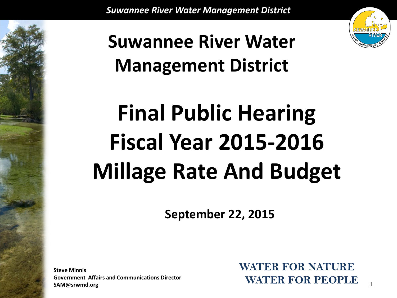

1

### **Suwannee River Water Management District**

# **Final Public Hearing Fiscal Year 2015-2016 Millage Rate And Budget**

**September 22, 2015**

**Steve Minnis Government Affairs and Communications Director SAM@srwmd.org**

**WATER FOR NATURE WATER FOR PEOPLE**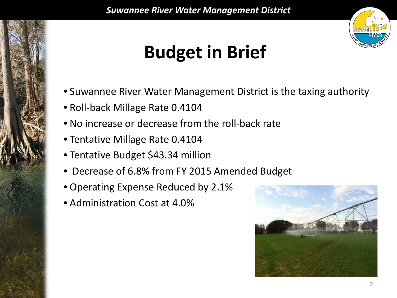

### **Budget in Brief**

- Suwannee River Water Management District is the taxing authority
- Roll-back Millage Rate 0.4104
- No increase or decrease from the roll-back rate
- Tentative Millage Rate 0.4104
- Tentative Budget \$43.34 million
- Decrease of 6.8% from FY 2015 Amended Budget
- Operating Expense Reduced by 2.1%
- Administration Cost at 4.0%

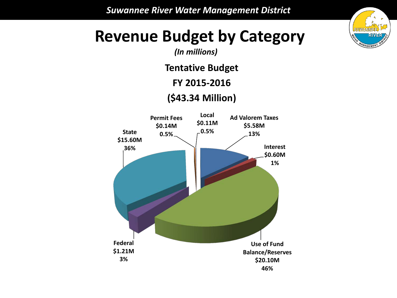

# **Revenue Budget by Category** *(In millions)*

**Tentative Budget**

**FY 2015-2016**

**(\$43.34 Million)**

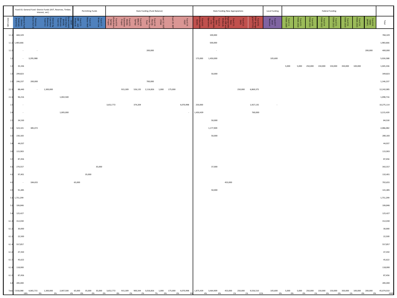|          | Fund 01: General Fund -District Funds (AVT, Reserves, Timber,<br>Interest, ext.) |           |                                                                                                                                      | Permitting Funds | State Funding (Fund Balance) |        |           |          | <b>State Funding New Appropiations</b> |                                 |        | <b>Local Funding</b> | Federal Funding |           |                                 |                                 |         |           |         |        |       |                               |              |            |                     |         |                          |                                                                                                                                                                                                               |
|----------|----------------------------------------------------------------------------------|-----------|--------------------------------------------------------------------------------------------------------------------------------------|------------------|------------------------------|--------|-----------|----------|----------------------------------------|---------------------------------|--------|----------------------|-----------------|-----------|---------------------------------|---------------------------------|---------|-----------|---------|--------|-------|-------------------------------|--------------|------------|---------------------|---------|--------------------------|---------------------------------------------------------------------------------------------------------------------------------------------------------------------------------------------------------------|
| EOG Code |                                                                                  |           |                                                                                                                                      |                  |                              |        |           |          |                                        | -ind 10<br>Rorda<br>Tentrin     | nd 12: |                      | ind 19          |           |                                 |                                 |         |           |         | ind 11 |       |                               | 줄 초<br>ដូ និ | 로 통<br>320 | Fund 56<br>: MA 201 | 롲       | SWIN)<br>MIWS<br>th pun- | lasl                                                                                                                                                                                                          |
| 1.1.1    | 684,329                                                                          |           |                                                                                                                                      |                  |                              |        |           |          |                                        |                                 |        |                      |                 |           | 100,000                         |                                 |         |           |         |        |       |                               |              |            |                     |         |                          | 784,329                                                                                                                                                                                                       |
|          | 1.1.2 1,483,666                                                                  |           |                                                                                                                                      |                  |                              |        |           |          |                                        |                                 |        |                      |                 |           | 500,000                         |                                 |         |           |         |        |       |                               |              |            |                     |         |                          | 1,983,666                                                                                                                                                                                                     |
| 1.1.3    | $\sim$                                                                           | $\sim$    |                                                                                                                                      |                  |                              |        |           |          |                                        | 200,000                         |        |                      |                 |           | $\sim$                          |                                 |         |           |         |        |       |                               |              |            |                     |         | 200,000                  | 400,000                                                                                                                                                                                                       |
| 1.2      | $\sim$                                                                           | 3,295,988 |                                                                                                                                      |                  |                              |        |           |          |                                        |                                 |        |                      |                 | 175,000   | 1,450,000                       |                                 |         |           | 105,600 |        |       |                               |              |            |                     |         |                          | 5,026,588                                                                                                                                                                                                     |
| 1.3      | 35,336                                                                           |           |                                                                                                                                      |                  |                              |        |           |          |                                        |                                 |        |                      |                 |           |                                 |                                 |         |           |         | 5,000  |       | 5,000 250,000 150,000 150,000 |              |            | 350,000             | 100,000 |                          | 1,045,336                                                                                                                                                                                                     |
| 1.5      | 299,823                                                                          |           |                                                                                                                                      |                  |                              |        |           |          |                                        |                                 |        |                      |                 |           | 50,000                          |                                 |         |           |         |        |       |                               |              |            |                     |         |                          | 349,823                                                                                                                                                                                                       |
| $2$ .    | 246,237                                                                          | 200,000   |                                                                                                                                      |                  |                              |        |           |          |                                        | 700,000                         |        |                      |                 |           |                                 |                                 |         |           |         |        |       |                               |              |            |                     |         |                          | 1,146,237                                                                                                                                                                                                     |
| 2.2.1    | 88,440                                                                           | $\sim$    | 1,300,000                                                                                                                            |                  |                              |        |           | 915,309  |                                        | 526,135 2,116,826 1,000 175,000 |        |                      |                 |           |                                 |                                 | 250,000 | 6,869,375 |         |        |       |                               |              |            |                     |         |                          | 12,242,085                                                                                                                                                                                                    |
| 2.2.2    | 96,216                                                                           |           |                                                                                                                                      | 1,002,500        |                              |        |           |          |                                        |                                 |        |                      |                 |           |                                 |                                 |         |           |         |        |       |                               |              |            |                     |         |                          | 1,098,716                                                                                                                                                                                                     |
| 2.5      |                                                                                  |           |                                                                                                                                      |                  |                              |        | 3,652,772 |          | 374,209                                |                                 |        |                      | 4,070,998       | 250,000   |                                 |                                 |         | 1,927,135 |         |        |       |                               |              |            |                     |         |                          | 10,275,114                                                                                                                                                                                                    |
| 2.4      | $\sim$                                                                           |           |                                                                                                                                      | 1,005,000        |                              |        |           |          |                                        |                                 |        |                      | $\sim$          | 1,450,439 |                                 |                                 |         | 760,000   |         |        |       |                               |              |            |                     |         |                          | 3,215,439                                                                                                                                                                                                     |
| 2.7      | 34,530                                                                           |           |                                                                                                                                      |                  |                              |        |           |          |                                        |                                 |        |                      |                 |           | 50,000                          |                                 |         |           |         |        |       |                               |              |            |                     |         |                          | 84,530                                                                                                                                                                                                        |
| 3.       | 523,101                                                                          | 385,072   |                                                                                                                                      |                  |                              |        |           |          |                                        |                                 |        |                      |                 |           | 1,177,909                       |                                 |         |           |         |        |       |                               |              |            |                     |         |                          | 2,086,082                                                                                                                                                                                                     |
| 3.3      | 230,183                                                                          |           |                                                                                                                                      |                  |                              |        |           |          |                                        |                                 |        |                      |                 |           | 50,000                          |                                 |         |           |         |        |       |                               |              |            |                     |         |                          | 280,183                                                                                                                                                                                                       |
| 3.       | 44,037                                                                           |           |                                                                                                                                      |                  |                              |        |           |          |                                        |                                 |        |                      |                 |           |                                 |                                 |         |           |         |        |       |                               |              |            |                     |         |                          | 44,037                                                                                                                                                                                                        |
| 3.6      | 115,903                                                                          |           |                                                                                                                                      |                  |                              |        |           |          |                                        |                                 |        |                      |                 |           |                                 |                                 |         |           |         |        |       |                               |              |            |                     |         |                          | 115,903                                                                                                                                                                                                       |
| 3.7      | 87,456                                                                           |           |                                                                                                                                      |                  |                              |        |           |          |                                        |                                 |        |                      |                 |           |                                 |                                 |         |           |         |        |       |                               |              |            |                     |         |                          | 87,456                                                                                                                                                                                                        |
| 4.1      | 270,557                                                                          |           |                                                                                                                                      |                  |                              | 35,000 |           |          |                                        |                                 |        |                      |                 |           | 37,000                          |                                 |         |           |         |        |       |                               |              |            |                     |         |                          | 342,557                                                                                                                                                                                                       |
| 4.2      | 97,401                                                                           |           |                                                                                                                                      |                  |                              | 35,000 |           |          |                                        |                                 |        |                      |                 |           |                                 |                                 |         |           |         |        |       |                               |              |            |                     |         |                          | 132,401                                                                                                                                                                                                       |
| 4.3      | $\sim$                                                                           | 184,655   |                                                                                                                                      |                  | 65,000                       |        |           |          |                                        |                                 |        |                      |                 |           |                                 | 453,000                         |         |           |         |        |       |                               |              |            |                     |         |                          | 702,655                                                                                                                                                                                                       |
| 4.5      | 91,485                                                                           |           |                                                                                                                                      |                  |                              |        |           |          |                                        |                                 |        |                      |                 |           | 50,000                          |                                 |         |           |         |        |       |                               |              |            |                     |         |                          | 141,485                                                                                                                                                                                                       |
|          | 5.1 1,751,299                                                                    |           |                                                                                                                                      |                  |                              |        |           |          |                                        |                                 |        |                      |                 |           |                                 |                                 |         |           |         |        |       |                               |              |            |                     |         |                          | 1,751,299                                                                                                                                                                                                     |
| 5.2      | 106,846                                                                          |           |                                                                                                                                      |                  |                              |        |           |          |                                        |                                 |        |                      |                 |           |                                 |                                 |         |           |         |        |       |                               |              |            |                     |         |                          | 106,846                                                                                                                                                                                                       |
| 5.4      | 125,427                                                                          |           |                                                                                                                                      |                  |                              |        |           |          |                                        |                                 |        |                      |                 |           |                                 |                                 |         |           |         |        |       |                               |              |            |                     |         |                          | 125,427                                                                                                                                                                                                       |
| 6.1.1    | 312,030                                                                          |           |                                                                                                                                      |                  |                              |        |           |          |                                        |                                 |        |                      |                 |           |                                 |                                 |         |           |         |        |       |                               |              |            |                     |         |                          | 312,030                                                                                                                                                                                                       |
| 6.1.2    | 30,000                                                                           |           |                                                                                                                                      |                  |                              |        |           |          |                                        |                                 |        |                      |                 |           |                                 |                                 |         |           |         |        |       |                               |              |            |                     |         |                          | 30,000                                                                                                                                                                                                        |
| 6.1.3    | 22,500                                                                           |           |                                                                                                                                      |                  |                              |        |           |          |                                        |                                 |        |                      |                 |           |                                 |                                 |         |           |         |        |       |                               |              |            |                     |         |                          | 22,500                                                                                                                                                                                                        |
| 6.1.4    | 557,857                                                                          |           |                                                                                                                                      |                  |                              |        |           |          |                                        |                                 |        |                      |                 |           |                                 |                                 |         |           |         |        |       |                               |              |            |                     |         |                          | 557,857                                                                                                                                                                                                       |
| 6.1.6    | 47,350                                                                           |           |                                                                                                                                      |                  |                              |        |           |          |                                        |                                 |        |                      |                 |           |                                 |                                 |         |           |         |        |       |                               |              |            |                     |         |                          | 47,350                                                                                                                                                                                                        |
| 6.1.7    | 45,622                                                                           |           |                                                                                                                                      |                  |                              |        |           |          |                                        |                                 |        |                      |                 |           |                                 |                                 |         |           |         |        |       |                               |              |            |                     |         |                          | 45,622                                                                                                                                                                                                        |
| 6.1.8    | 118,000                                                                          |           |                                                                                                                                      |                  |                              |        |           |          |                                        |                                 |        |                      |                 |           |                                 |                                 |         |           |         |        |       |                               |              |            |                     |         |                          | 118,000                                                                                                                                                                                                       |
| 6.1.9    | 87,456                                                                           |           |                                                                                                                                      |                  |                              |        |           |          |                                        |                                 |        |                      |                 |           |                                 |                                 |         |           |         |        |       |                               |              |            |                     |         |                          | 87,456                                                                                                                                                                                                        |
| 6.4      | 285,000                                                                          |           |                                                                                                                                      |                  |                              |        |           |          |                                        |                                 |        |                      |                 |           |                                 |                                 |         |           |         |        |       |                               |              |            |                     |         |                          | 285,000                                                                                                                                                                                                       |
|          | 18%                                                                              |           | Total 7,918,088 4,065,715 1,300,000 2,007,500 65,000 35,000 35,000 3,652,772 915,309 900,344 3,016,826 1,000 175,000 4,070,998<br>3% | 4%               | $0\%$                        | 0% 0%  |           | 8%<br>2% | 2%                                     |                                 | 7% 0%  | 0%                   |                 |           | 1,875,439 3,464,909<br>4%<br>8% | 453,000 250,000 9,556,510<br>1% | 1%      | 21%       | 0%      | 0%     | $0\%$ |                               | 1%<br>0%     | 0%         | 1%                  | 0%      | 0%                       | $105,600 \qquad \quad 5,000 \qquad \quad 5,000 \qquad \quad 250,000 \qquad \quad 150,000 \qquad \quad 150,000 \qquad \quad 350,000 \qquad \quad 100,000 \qquad \quad 200,000 \qquad \quad 45,074,010$<br>1009 |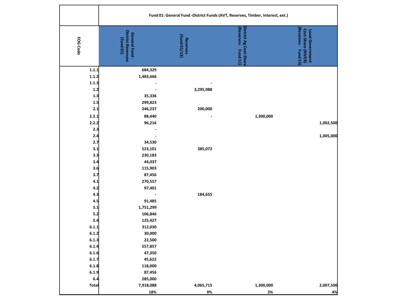|              | Fund 01: General Fund - District Funds (AVT, Reserves, Timber, Interest, ext.) |                          |                                                       |                                                                        |  |  |  |  |  |  |  |
|--------------|--------------------------------------------------------------------------------|--------------------------|-------------------------------------------------------|------------------------------------------------------------------------|--|--|--|--|--|--|--|
| EOG Code     | <b>District Revenues</b><br>General Fund-<br>(Fund 01)                         | (Fund 01/13)<br>Reserves | District Ag Cost-Share<br>Reserves-<br><b>Fund 51</b> | (Reserves-<br>Local Government<br>Cost-Share (RIVER)<br><b>Fund 53</b> |  |  |  |  |  |  |  |
| 1.1.1        | 684,329                                                                        |                          |                                                       |                                                                        |  |  |  |  |  |  |  |
| 1.1.2        | 1,483,666                                                                      |                          |                                                       |                                                                        |  |  |  |  |  |  |  |
| 1.1.3        |                                                                                |                          |                                                       |                                                                        |  |  |  |  |  |  |  |
| 1.2          |                                                                                | 3,295,988                |                                                       |                                                                        |  |  |  |  |  |  |  |
| 1.3          | 35,336                                                                         |                          |                                                       |                                                                        |  |  |  |  |  |  |  |
| 1.5          | 299,823                                                                        |                          |                                                       |                                                                        |  |  |  |  |  |  |  |
| 2.1          | 246,237                                                                        | 200,000                  |                                                       |                                                                        |  |  |  |  |  |  |  |
| 2.2.1        | 88,440                                                                         |                          | 1,300,000                                             |                                                                        |  |  |  |  |  |  |  |
| 2.2.2        | 96,216                                                                         |                          |                                                       | 1,002,500                                                              |  |  |  |  |  |  |  |
| 2.3          |                                                                                |                          |                                                       |                                                                        |  |  |  |  |  |  |  |
| 2.4          |                                                                                |                          |                                                       | 1,005,000                                                              |  |  |  |  |  |  |  |
| 2.7          | 34,530                                                                         |                          |                                                       |                                                                        |  |  |  |  |  |  |  |
| 3.1          | 523,101                                                                        | 385,072                  |                                                       |                                                                        |  |  |  |  |  |  |  |
| 3.3          | 230,183                                                                        |                          |                                                       |                                                                        |  |  |  |  |  |  |  |
| 3.4          | 44,037                                                                         |                          |                                                       |                                                                        |  |  |  |  |  |  |  |
| 3.6          | 115,903                                                                        |                          |                                                       |                                                                        |  |  |  |  |  |  |  |
| 3.7          | 87,456                                                                         |                          |                                                       |                                                                        |  |  |  |  |  |  |  |
| 4.1          | 270,557                                                                        |                          |                                                       |                                                                        |  |  |  |  |  |  |  |
| 4.2          | 97,401                                                                         |                          |                                                       |                                                                        |  |  |  |  |  |  |  |
| 4.3          |                                                                                | 184,655                  |                                                       |                                                                        |  |  |  |  |  |  |  |
| 4.5          | 91,485                                                                         |                          |                                                       |                                                                        |  |  |  |  |  |  |  |
| 5.1          | 1,751,299                                                                      |                          |                                                       |                                                                        |  |  |  |  |  |  |  |
| 5.2          | 106,846                                                                        |                          |                                                       |                                                                        |  |  |  |  |  |  |  |
| 5.4          | 125,427                                                                        |                          |                                                       |                                                                        |  |  |  |  |  |  |  |
| 6.1.1        | 312,030                                                                        |                          |                                                       |                                                                        |  |  |  |  |  |  |  |
| 6.1.2        | 30,000                                                                         |                          |                                                       |                                                                        |  |  |  |  |  |  |  |
| 6.1.3        | 22,500                                                                         |                          |                                                       |                                                                        |  |  |  |  |  |  |  |
| 6.1.4        | 557,857                                                                        |                          |                                                       |                                                                        |  |  |  |  |  |  |  |
| 6.1.6        | 47,350                                                                         |                          |                                                       |                                                                        |  |  |  |  |  |  |  |
| 6.1.7        | 45,622                                                                         |                          |                                                       |                                                                        |  |  |  |  |  |  |  |
| 6.1.8        | 118,000                                                                        |                          |                                                       |                                                                        |  |  |  |  |  |  |  |
| 6.1.9        | 87,456                                                                         |                          |                                                       |                                                                        |  |  |  |  |  |  |  |
| 6.4          | 285,000                                                                        |                          |                                                       |                                                                        |  |  |  |  |  |  |  |
| <b>Total</b> | 7,918,088                                                                      | 4,065,715                | 1,300,000                                             | 2,007,500                                                              |  |  |  |  |  |  |  |
|              | 18%                                                                            | 9%                       | 3%                                                    | 4%                                                                     |  |  |  |  |  |  |  |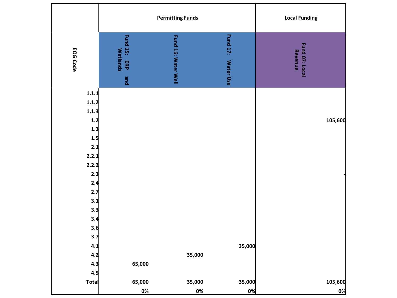|                 |                                        | <b>Permitting Funds</b> | <b>Local Funding</b>  |                           |
|-----------------|----------------------------------------|-------------------------|-----------------------|---------------------------|
| <b>EOG Code</b> | Fund 15: ERP<br><b>Wetlands</b><br>pue | Fund 16: Water Well     | Fund 17:<br>Water Use | Fund 07: Local<br>Revenue |
| 1.1.1<br>1.1.2  |                                        |                         |                       |                           |
| 1.1.3<br>1.2    |                                        |                         |                       | 105,600                   |
| 1.3             |                                        |                         |                       |                           |
| 1.5<br>2.1      |                                        |                         |                       |                           |
| 2.2.1           |                                        |                         |                       |                           |
| 2.2.2           |                                        |                         |                       |                           |
| 2.3             |                                        |                         |                       |                           |
| 2.4<br>2.7      |                                        |                         |                       |                           |
| 3.1             |                                        |                         |                       |                           |
| 3.3             |                                        |                         |                       |                           |
| 3.4             |                                        |                         |                       |                           |
| 3.6             |                                        |                         |                       |                           |
| 3.7<br>4.1      |                                        |                         | 35,000                |                           |
| 4.2             |                                        | 35,000                  |                       |                           |
| 4.3             | 65,000                                 |                         |                       |                           |
| 4.5             |                                        |                         |                       |                           |
| Total           | 65,000                                 | 35,000                  | 35,000                | 105,600                   |
|                 | $0\%$                                  | $0\%$                   | 0%                    | 0%                        |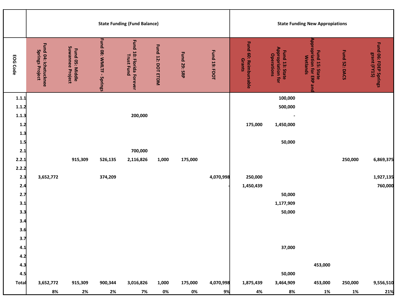|                                                             |                                                |                                            |                          | <b>State Funding (Fund Balance)</b>                  |                   | <b>State Funding New Appropiations</b> |                 |                                 |                                                                        |                                                                       |               |                                       |
|-------------------------------------------------------------|------------------------------------------------|--------------------------------------------|--------------------------|------------------------------------------------------|-------------------|----------------------------------------|-----------------|---------------------------------|------------------------------------------------------------------------|-----------------------------------------------------------------------|---------------|---------------------------------------|
| EOG Code                                                    | Fund 04: Ichetucknee<br><b>Springs Project</b> | Suwannee Project<br><b>Fund 05: Middle</b> | Fund 08: WMLTF - Springs | <b>Fund 10: Florida Forever</b><br><b>Trust Fund</b> | Fund 12: DOT ETDM | Fund 29: SRP                           | Fund 19: FDOT   | Fund 60: Reimbursable<br>Grants | <b>Appropriation for</b><br><b>Fund 13: State</b><br><b>Operations</b> | <b>Appropriation for ERP and</b><br>Fund 15: State<br><b>Wetlands</b> | Fund 52: DACS | Fund 06: FDEP Springs<br>grant (FY15) |
| 1.1.1<br>1.1.2<br>1.1.3<br>1.2<br>1.3<br>1.5                |                                                |                                            |                          | 200,000                                              |                   |                                        |                 | 175,000                         | 100,000<br>500,000<br>$\overline{\phantom{a}}$<br>1,450,000<br>50,000  |                                                                       |               |                                       |
| 2.1<br>2.2.1<br>2.2.2                                       |                                                | 915,309                                    | 526,135                  | 700,000<br>2,116,826                                 | 1,000             | 175,000                                |                 |                                 |                                                                        |                                                                       | 250,000       | 6,869,375                             |
| 2.3<br>2.4<br>2.7<br>3.1<br>3.3<br>3.4<br>3.6<br>3.7<br>4.1 | 3,652,772                                      |                                            | 374,209                  |                                                      |                   |                                        | 4,070,998       | 250,000<br>1,450,439            | 50,000<br>1,177,909<br>50,000<br>37,000                                |                                                                       |               | 1,927,135<br>760,000                  |
| 4.2<br>4.3<br>4.5                                           |                                                |                                            |                          |                                                      |                   |                                        |                 |                                 | 50,000                                                                 | 453,000                                                               |               |                                       |
| <b>Total</b>                                                | 3,652,772<br>8%                                | 915,309<br>2%                              | 900,344<br>2%            | 3,016,826<br>7%                                      | 1,000<br>0%       | 175,000<br>0%                          | 4,070,998<br>9% | 1,875,439<br>4%                 | 3,464,909<br>8%                                                        | 453,000<br>$1\%$                                                      | 250,000<br>1% | 9,556,510<br>21%                      |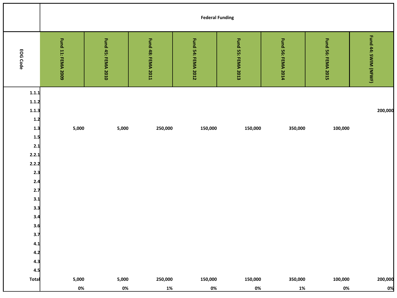|                                                                                                                                                            |                    |                    |                    | <b>Federal Funding</b> |                    |                    |                           |                      |
|------------------------------------------------------------------------------------------------------------------------------------------------------------|--------------------|--------------------|--------------------|------------------------|--------------------|--------------------|---------------------------|----------------------|
| EOG Code                                                                                                                                                   | Fund 11: FEMA 2009 | Fund 45: FEMA 2010 | Fund 48: FEMA 2011 | Fund 54: FEMA 2012     | Fund 55: FEMA 2013 | Fund 56: FEMA 2014 | <b>Fund 56: FEMA 2015</b> | Fund 44: SWIM (NFWF) |
| 1.1.1<br>1.1.2<br>1.1.3<br>$1.2$<br>$1.3$<br>1.5<br>2.1<br>2.2.1<br>2.2.2<br>2.3<br>$2.4$<br>$2.7$<br>3.1<br>3.3<br>3,4<br>3.6<br>3.7<br>4.1<br>4.2<br>4.3 | 5,000              | 5,000              | 250,000            | 150,000                | 150,000            | 350,000            | 100,000                   | 200,000              |
| 4.5<br>Total                                                                                                                                               | 5,000<br>$0\%$     | 5,000<br>0%        | 250,000<br>1%      | 150,000<br>0%          | 150,000<br>0%      | 350,000<br>1%      | 100,000<br>$0\%$          | 200,000<br>0%        |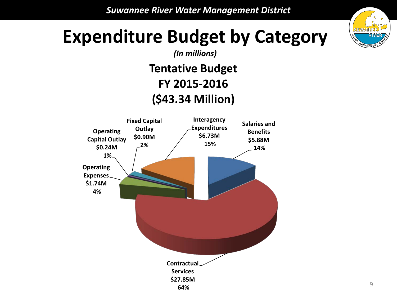

#### **Expenditure Budget by Category**

*(In millions)*

**Tentative Budget FY 2015-2016 (\$43.34 Million)**

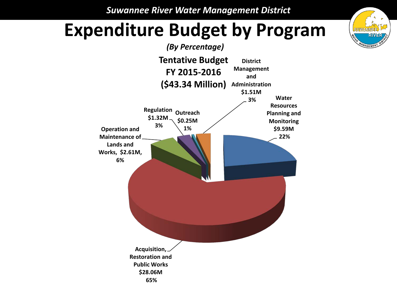#### **Expenditure Budget by Program**



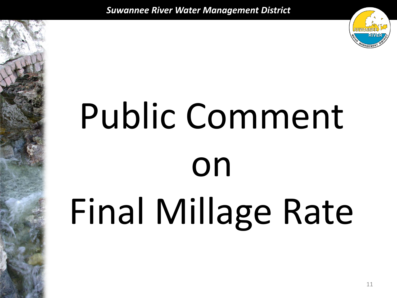

# Public Comment on Final Millage Rate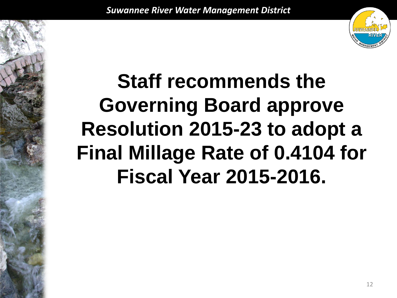

## **Staff recommends the Governing Board approve Resolution 2015-23 to adopt a Final Millage Rate of 0.4104 for Fiscal Year 2015-2016.**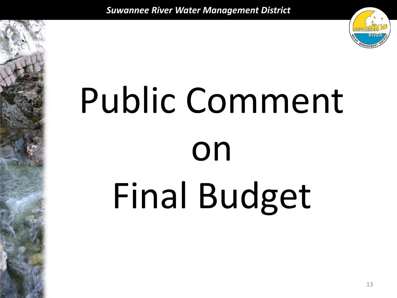

# Public Comment on Final Budget